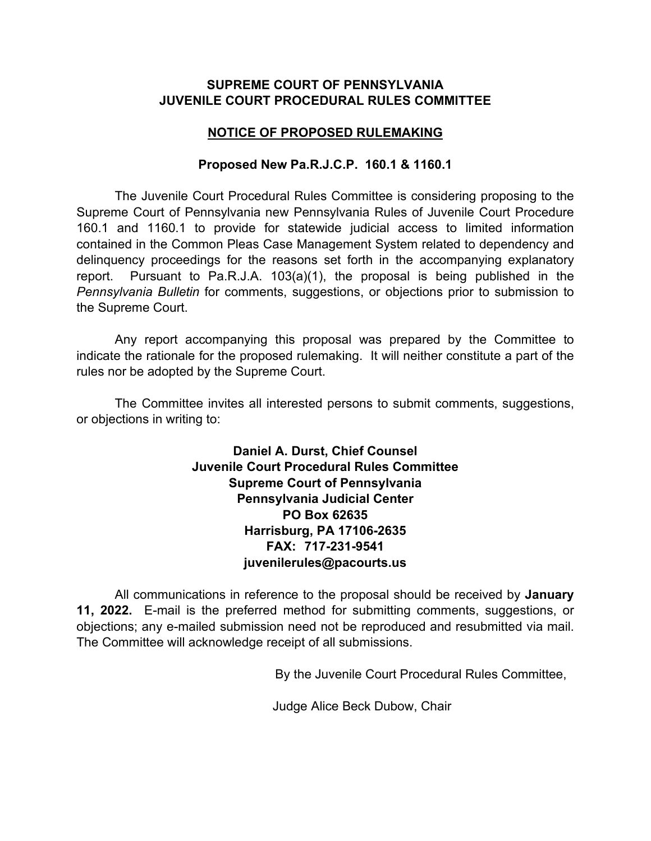## **SUPREME COURT OF PENNSYLVANIA JUVENILE COURT PROCEDURAL RULES COMMITTEE**

## **NOTICE OF PROPOSED RULEMAKING**

## **Proposed New Pa.R.J.C.P. 160.1 & 1160.1**

The Juvenile Court Procedural Rules Committee is considering proposing to the Supreme Court of Pennsylvania new Pennsylvania Rules of Juvenile Court Procedure 160.1 and 1160.1 to provide for statewide judicial access to limited information contained in the Common Pleas Case Management System related to dependency and delinquency proceedings for the reasons set forth in the accompanying explanatory report. Pursuant to Pa.R.J.A. 103(a)(1), the proposal is being published in the *Pennsylvania Bulletin* for comments, suggestions, or objections prior to submission to the Supreme Court.

Any report accompanying this proposal was prepared by the Committee to indicate the rationale for the proposed rulemaking. It will neither constitute a part of the rules nor be adopted by the Supreme Court.

The Committee invites all interested persons to submit comments, suggestions, or objections in writing to:

> **Daniel A. Durst, Chief Counsel Juvenile Court Procedural Rules Committee Supreme Court of Pennsylvania Pennsylvania Judicial Center PO Box 62635 Harrisburg, PA 17106-2635 FAX: 717-231-9541 juvenilerules@pacourts.us**

All communications in reference to the proposal should be received by **January 11, 2022.** E-mail is the preferred method for submitting comments, suggestions, or objections; any e-mailed submission need not be reproduced and resubmitted via mail. The Committee will acknowledge receipt of all submissions.

By the Juvenile Court Procedural Rules Committee,

Judge Alice Beck Dubow, Chair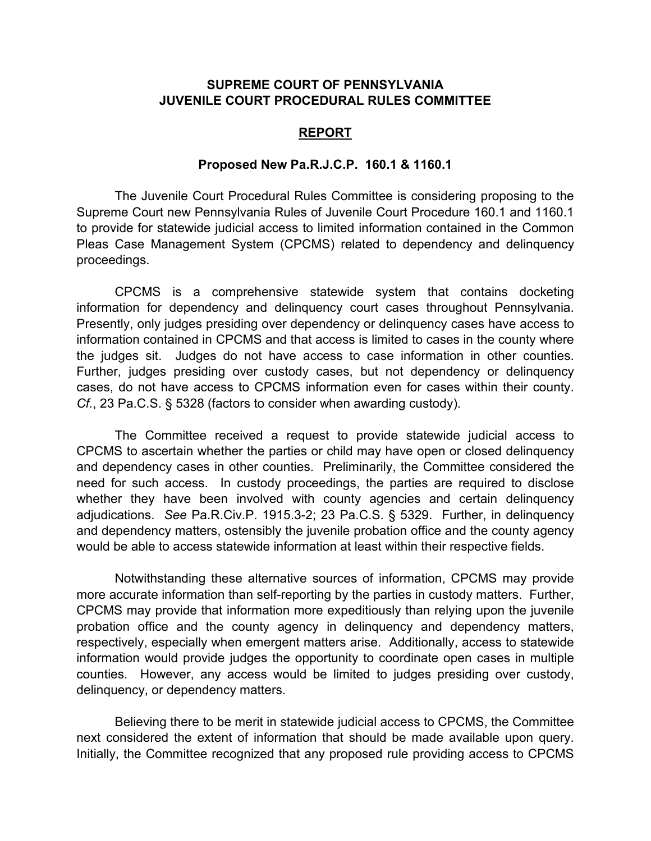## **SUPREME COURT OF PENNSYLVANIA JUVENILE COURT PROCEDURAL RULES COMMITTEE**

#### **REPORT**

#### **Proposed New Pa.R.J.C.P. 160.1 & 1160.1**

The Juvenile Court Procedural Rules Committee is considering proposing to the Supreme Court new Pennsylvania Rules of Juvenile Court Procedure 160.1 and 1160.1 to provide for statewide judicial access to limited information contained in the Common Pleas Case Management System (CPCMS) related to dependency and delinquency proceedings.

CPCMS is a comprehensive statewide system that contains docketing information for dependency and delinquency court cases throughout Pennsylvania. Presently, only judges presiding over dependency or delinquency cases have access to information contained in CPCMS and that access is limited to cases in the county where the judges sit. Judges do not have access to case information in other counties. Further, judges presiding over custody cases, but not dependency or delinquency cases, do not have access to CPCMS information even for cases within their county. *Cf.*, 23 Pa.C.S. § 5328 (factors to consider when awarding custody).

The Committee received a request to provide statewide judicial access to CPCMS to ascertain whether the parties or child may have open or closed delinquency and dependency cases in other counties. Preliminarily, the Committee considered the need for such access. In custody proceedings, the parties are required to disclose whether they have been involved with county agencies and certain delinquency adjudications. *See* Pa.R.Civ.P. 1915.3-2; 23 Pa.C.S. § 5329. Further, in delinquency and dependency matters, ostensibly the juvenile probation office and the county agency would be able to access statewide information at least within their respective fields.

Notwithstanding these alternative sources of information, CPCMS may provide more accurate information than self-reporting by the parties in custody matters. Further, CPCMS may provide that information more expeditiously than relying upon the juvenile probation office and the county agency in delinquency and dependency matters, respectively, especially when emergent matters arise. Additionally, access to statewide information would provide judges the opportunity to coordinate open cases in multiple counties. However, any access would be limited to judges presiding over custody, delinquency, or dependency matters.

Believing there to be merit in statewide judicial access to CPCMS, the Committee next considered the extent of information that should be made available upon query. Initially, the Committee recognized that any proposed rule providing access to CPCMS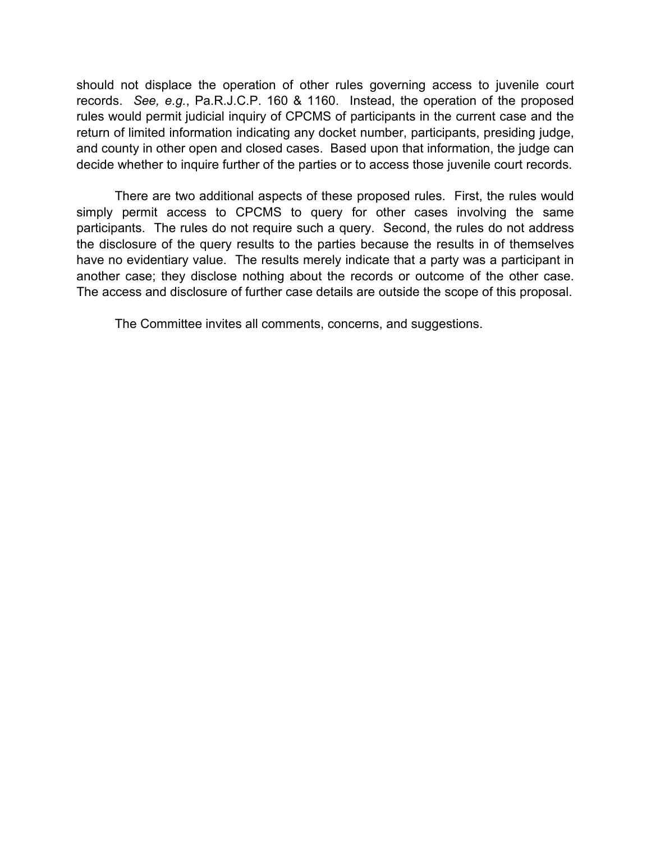should not displace the operation of other rules governing access to juvenile court records. *See, e.g.*, Pa.R.J.C.P. 160 & 1160. Instead, the operation of the proposed rules would permit judicial inquiry of CPCMS of participants in the current case and the return of limited information indicating any docket number, participants, presiding judge, and county in other open and closed cases. Based upon that information, the judge can decide whether to inquire further of the parties or to access those juvenile court records.

There are two additional aspects of these proposed rules. First, the rules would simply permit access to CPCMS to query for other cases involving the same participants. The rules do not require such a query. Second, the rules do not address the disclosure of the query results to the parties because the results in of themselves have no evidentiary value. The results merely indicate that a party was a participant in another case; they disclose nothing about the records or outcome of the other case. The access and disclosure of further case details are outside the scope of this proposal.

The Committee invites all comments, concerns, and suggestions.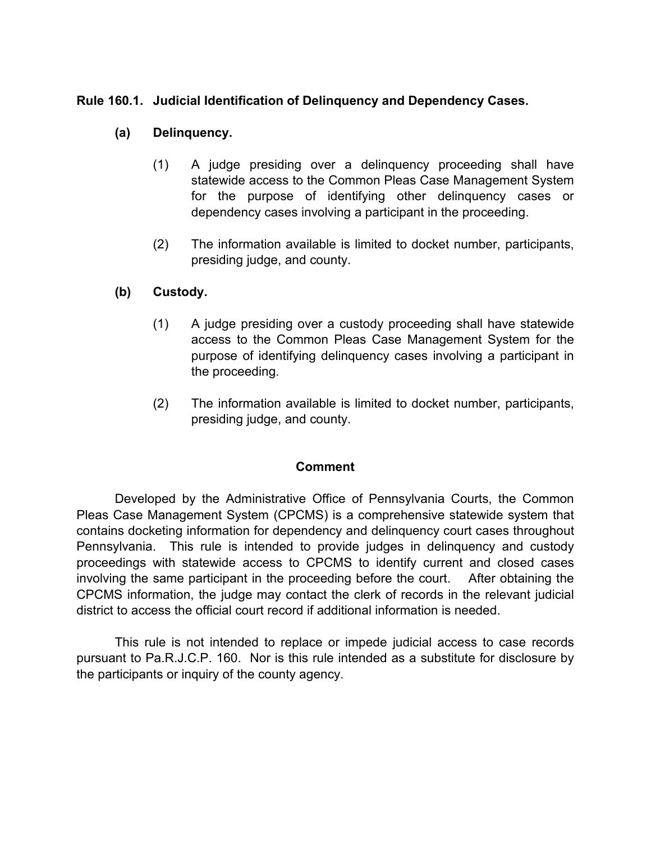# **Rule 160.1. Judicial Identification of Delinquency and Dependency Cases.**

## **(a) Delinquency.**

- (1) A judge presiding over a delinquency proceeding shall have statewide access to the Common Pleas Case Management System for the purpose of identifying other delinquency cases or dependency cases involving a participant in the proceeding.
- (2) The information available is limited to docket number, participants, presiding judge, and county.

## **(b) Custody.**

- (1) A judge presiding over a custody proceeding shall have statewide access to the Common Pleas Case Management System for the purpose of identifying delinquency cases involving a participant in the proceeding.
- (2) The information available is limited to docket number, participants, presiding judge, and county.

## **Comment**

Developed by the Administrative Office of Pennsylvania Courts, the Common Pleas Case Management System (CPCMS) is a comprehensive statewide system that contains docketing information for dependency and delinquency court cases throughout Pennsylvania. This rule is intended to provide judges in delinquency and custody proceedings with statewide access to CPCMS to identify current and closed cases involving the same participant in the proceeding before the court. After obtaining the CPCMS information, the judge may contact the clerk of records in the relevant judicial district to access the official court record if additional information is needed.

This rule is not intended to replace or impede judicial access to case records pursuant to Pa.R.J.C.P. 160. Nor is this rule intended as a substitute for disclosure by the participants or inquiry of the county agency.